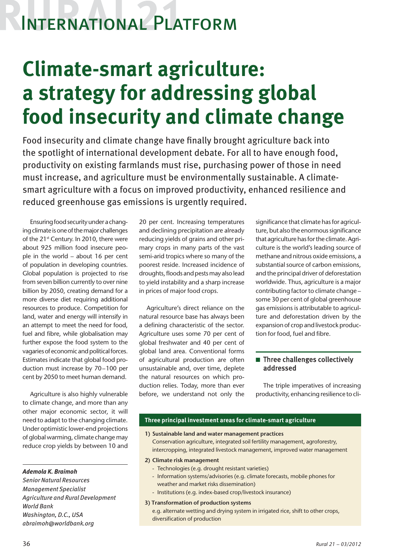# International Platform

## **Climate-smart agriculture: a strategy for addressing global food insecurity and climate change**

Food insecurity and climate change have finally brought agriculture back into the spotlight of international development debate. For all to have enough food, productivity on existing farmlands must rise, purchasing power of those in need must increase, and agriculture must be environmentally sustainable. A climatesmart agriculture with a focus on improved productivity, enhanced resilience and reduced greenhouse gas emissions is urgently required.

Ensuring food security under a changing climate is one of the major challenges of the 21<sup>st</sup> Century. In 2010, there were about 925 million food insecure people in the world – about 16 per cent of population in developing countries. Global population is projected to rise from seven billion currently to over nine billion by 2050, creating demand for a more diverse diet requiring additional resources to produce. Competition for land, water and energy will intensify in an attempt to meet the need for food, fuel and fibre, while globalisation may further expose the food system to the vagaries of economic and political forces. Estimates indicate that global food production must increase by 70–100 per cent by 2050 to meet human demand.

Agriculture is also highly vulnerable to climate change, and more than any other major economic sector, it will need to adapt to the changing climate. Under optimistic lower-end projections of global warming, climate change may reduce crop yields by between 10 and

### *Ademola K. Braimoh*

*Senior Natural Resources Management Specialist Agriculture and Rural Development World Bank Washington, D.C., USA abraimoh@worldbank.org*

20 per cent. Increasing temperatures and declining precipitation are already reducing yields of grains and other primary crops in many parts of the vast semi-arid tropics where so many of the poorest reside. Increased incidence of droughts, floods and pests may also lead to yield instability and a sharp increase in prices of major food crops.

Agriculture's direct reliance on the natural resource base has always been a defining characteristic of the sector. Agriculture uses some 70 per cent of global freshwater and 40 per cent of global land area. Conventional forms of agricultural production are often unsustainable and, over time, deplete the natural resources on which production relies. Today, more than ever before, we understand not only the

significance that climate has for agriculture, but also the enormous significance that agriculture has for the climate. Agriculture is the world's leading source of methane and nitrous oxide emissions, a substantial source of carbon emissions, and the principal driver of deforestation worldwide. Thus, agriculture is a major contributing factor to climate change – some 30 per cent of global greenhouse gas emissions is attributable to agriculture and deforestation driven by the expansion of crop and livestock production for food, fuel and fibre.

## $\blacksquare$  Three challenges collectively addressed

The triple imperatives of increasing productivity, enhancing resilience to cli-

## **Three principal investment areas for climate-smart agriculture**

#### **1) Sustainable land and water management practices**

Conservation agriculture, integrated soil fertility management, agroforestry, intercropping, integrated livestock management, improved water management

#### **2) Climate risk management**

- Technologies (e.g. drought resistant varieties)
- Information systems/advisories (e.g. climate forecasts, mobile phones for weather and market risks dissemination)
- Institutions (e.g. index-based crop/livestock insurance)

#### **3) Transformation of production systems**

e.g. alternate wetting and drying system in irrigated rice, shift to other crops, diversification of production